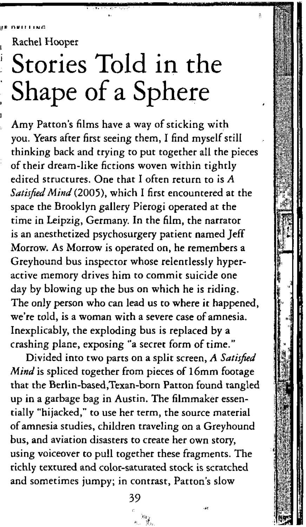Rachel Hooper

## **Stories** Told in the **Shape** of a Sphere

Amy Patton's films have a way of sticking with you. Years after first seeing them, I find myself still thinking back and trying to put together all the pieces of their dream-like fictions woven within tightly edited structures. One that I often return to is *A Satisfied Mind* (2005), which I first encountered at the space the Brooklyn gallery Pierogi operated at the time in Leipzig, Germany. In the film, the narrator is an anesthetized psychosurgery patient named Jeff Morrow. As Morrow is operated on, he remembers a Greyhound bus inspector whose relentlessly hyperactive memory drives him to commit suicide one day by blowing up the bus on which he is riding. The only person who can lead us to where it happened, we're told, is a woman with a severe case of amnesia. Inexplicably, the exploding bus is replaced by a crashing plane, exposing "a secret form of time."

Divided into two parts on a split screen, *A Satisfied Mind* is spliced together from pieces of 16mm footage that the Berlin-based,Texan-born Patton found tangled up in a garbage bag in Austin. The filmmaker essentially "hijacked," to use her term, the source material of amnesia studies, children traveling on a Greyhound bus, and aviation disasters to create her own story, using voiceover to pull together these fragments. The richly textured and color-saturated stock is scratched and sometimes jumpy; in contrast, Patton's slow

39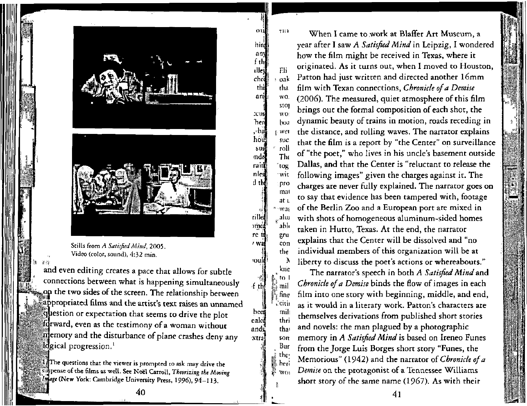

am

alley

ched thi

 $^{\circ}$ hind any  $f$  the

:cus

أأران,

how

sust

nde raiti

nlest

d the

rille

νmς.

re to

 $7.32$ 

'OUli

f the

heel

ealcd

ands xtra

to. L‰mil fine `citii

> mili thri

that

 $50<sub>π</sub>$ Bur the, heri **WO** 

p

Stills from *A Satisfied Mind,* 2005. Video (color, sound), 4:32 min.

and even editing creates a pace that allows for subtle connections between what is happening simultaneously **p** the two sides of the screen. The relationship between appropriated films and the artist's text raises an unnamed jiestion or expectation that seems to drive the plot forward, even as the testimony of a woman without emory and the disturbance of plane crashes deny any logical progression.<sup>1</sup>

The questions that the viewer is prompted to ask may drive the pense of the films as well. See Noel Carroll, *Theorizing the Moving •ige* (New York: Cambridge University Press, 1996), 94-113.

THE When I came to work at Blaffer Art Museum, a year after I saw *A Satisfied Mind* in Leipzig, I wondered how the film might be received in Texas, where it originated. As it turns out, when I moved to Houston, Fli Patton had just written and directed another 16mm  $\alpha$ film with Texan connections, *Chronicle of a Demise*  tha wO (2006). The measured, quiet atmosphere of this film stol brings out the formal composition of each shot, the wo dynamic beauty of trains in motion, roads receding in boa the distance, and rolling waves. The narrator explains wel suc that the film is a report by "the Center" on surveillance roll of "the poet," who lives in his uncle's basement outside The Dallas, and that the Center is "reluctant to release the `tog following images" given the charges against it. The witpro charges are never fully explained. The narrator goes on mat to say that evidence has been tampered with, footage at u of the Berlin Zoo and a European port are mixed in \* -was <sub>...</sub>aluı with shots of homogeneous aluminum-sided homes abh taken in Hutto, Texas. At the end, the narrator eru explains that the Center will be dissolved and "no con individual members of this organization will be at the liberty to discuss the poet's actions or whereabouts." Α kne

The narrator's speech in both *A Satisfied Mind* and *Chronicle of a Demise* binds the flow of images in each film into one story with beginning, middle, and end, as it would in a literary work. Patton's characters are themselves derivations from published short stories and novels: the man plagued by a photographic memory in *A Satisfied Mind* is based on Ireneo Funes from the Jorge Luis Borges short story "Funes, the Memorious" (1942) and the narrator *of Chronicle of a Demise* on the protagonist of a Tennessee Williams short story of the same name (1967). As with their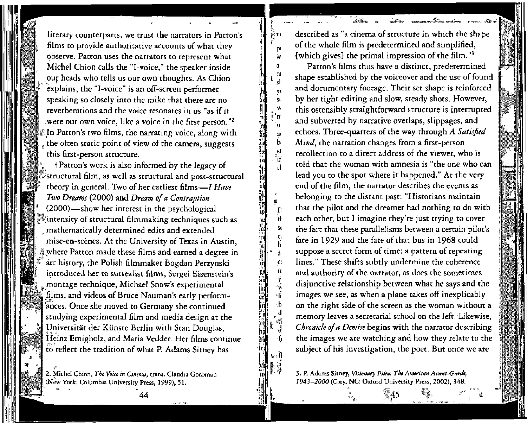literary counterparts, we trust the narrators in Patton's films to provide authoritative accounts of what they observe. Patton uses the narrators to represent what Michel Chion calls the "I-voice," the speaker inside our heads who tells us our own thoughts. As Chion explains, the "I-voice" is an off-screen performer speaking so closely into the mike that there are no reverberations and the voice resonates in us "as if it were our own voice, like a voice in the first person."<sup>2</sup> In Patton's two films, the narrating voice, along with the often static point of view of the camera, suggests this first-person structure.

I*t\**  ivf  $\frac{1}{2}$  $\mathbb{N}$ sk

ta

y.  $\overline{\mathbf{s}}$ c Ń. 'n ่นะ  $a<sub>1</sub>$  $\mathbf{b}$ .<br>Sl ំអ

ip

 $\mathbf{r}$ 'n  $\mathbf{s}$ e.<br>B

¢.

医子宫神经

 $\overline{d}$ 

٠f

 $\mathfrak{m}$ in;

gd

er

r il<br>'ill

h

*i* Patton's work is also informed by the legacy of structural film, as well as structural and post-structural theory in general. Two of her earliest films—/ *Have Two Dreams* (2000) and *Dream of a Contraption*  (2000)—show her interest in the psychological intensity of structural filmmaking techniques such as mathematically determined edits and extended mise-en-scenes. At the University of Texas in Austin, where Patton made these films and earned a degree in art history, the Polish filmmaker Bogdan Perzynski introduced her to surrealist films, Sergei Eisenstein's montage technique, Michael Snow's experimental films, and videos of Bruce Nauman's early performances. Once she moved to Germany she continued studying experimental film and media design at the Universitat der Kunste Berlin with Stan Douglas, Heinz Emigholz, and Maria Vedder. Her films continue to reflect the tradition of what P. Adams Sitney has

2. Michel Chion, *The Voice in Cinema,* trans. Claudia Gorbman (New York: Columbia University Press, 1999), 51.

*44* 

u t.

re.

described as "a cinema of structure in which the shape of the whole film is predetermined and simplified, {which gives] the primal impression of the film."<sup>3</sup>

**TECHNOLOGY SERVICE SERVICE SERVICE SERVICE SERVICE SERVICE SERVICE SERVICE SERVICE SERVICE SERVICE SERVICE SERV** 

Patton's films thus have a distinct, predetermined shape established by the voiceover and the use of found and documentary footage. Their set shape is reinforced by her tight editing and slow, steady shots. However, this ostensibly straightforward structure is interrupted and subverted by narrative overlaps, slippages, and echoes. Three-quarters of the way through *A Satisfied Mind,* the narration changes from a first-person recollection to a direct address of the viewer, who is told that the woman with amnesia is "the one who can lead you to the spot where it happened." At the very end of the film, the narrator describes the events as belonging to the distant past: "Historians maintain that the pilot and the dreamer had nothing to do with each other, but I imagine they're just trying to cover the fact that these parallelisms between a certain pilot's fate in 1929 and the fate of that bus in 1968 could suppose a secret form of time: a pattern of repeating lines." These shifts subtly undermine the coherence and authority of the narrator, as does the sometimes disjunctive relationship between what he says and the images we see, as when a plane takes off inexplicably on the right side of the screen as the woman without a memory leaves a secretarial school on the left. Likewise, *Chronicle of a Demise* begins with the narrator describing the images we are watching and how they relate to the subject of his investigation, the poet. But once we are

3. P. Adams Sitney, *Visionary Film: The American Avant-Garde, 1943-2000* (Cary, NC: Oxford University Press, 2002), 348.

545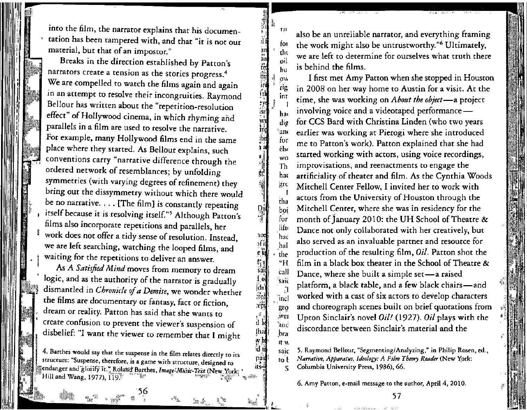into the film, the narrator explains that his documentation has been tampered with, and that "it is not our material, but that of an impostor."

in am ted &i ira<br>A isn'<br>isn'<br>isn'

foi tin oil hu

a

wτ

Dai<br>Pap

IOC eilj «h sax idn  $\frac{|\text{Gn}|}{2}$ reg:<br>;;;;;

*H* 

4hai

*wh*  ?dti paii its-

itvt

Breaks in the direction established by Patton's narrators create a tension as the stories progress.<sup>4</sup> We are compelled to watch the films again and again in an attempt to resolve their incongruities. Raymond Bellour has written about the "repetition-resolution effect" of Hollywood cinema, in which rhyming and parallels in a film are used to resolve the narrative. For example, many Hollywood films end in the same place where they started. As Bellour explains, such conventions carry "narrative difference through the ordered network of resemblances; by unfolding symmetries (with varying degrees of refinement) they bring out the dissymmetry without which there would be no narrative. . . . [The film} is constantly repeating itself because it is resolving itself."<sup>5</sup> Although Patton's films also incorporate repetitions and parallels, her work does not offer a tidy sense of resolution. Instead,

we are left searching, watching the looped films, and waiting for the repetitions to deliver an answer.

As *A Satisfied Mind moves* from memory to dream logic, and as the authority of the narrator is gradually dismantled in *Chronicle of a Demise,* we wonder whether the films are documentary or fantasy, fact or fiction, dream or reality. Patton has said that she wants to create confusion to prevent the viewer's suspension of disbelief: "I want the viewer to remember that I might

4. Barthes would say that the suspense in the 61m relates directly to its structure: "Suspense, therefore, is a game with structure, designed to endanger and glorify it." Roland Barthes, *Image-Music-Text* (New York: ' Hill and Wang, 1977), 119.  $\mathbb{F}^{\text{max}}$  is a set of  $\mathbb{F}$ 

. J w .. - '56

 $\mathbb R$  at

also be an unreliable narrator, and everything framing the work might also be untrustworthy."<sup>6</sup> Ultimately, we are left to determine for ourselves what truth there is behind the films.

*ov,*  rig inr 1 ha< dig  $^{\circ}$ ano for clsi wo Th hat grc I tha boi for lift. "hac hal the "H call said a  $\left|$ inc $\right|$ 6\*9 wej anc bra I first met Amy Patton when she stopped in Houston in 2008 on her way home to Austin for a visit. At the time, she was working on *About the object*—a project involving voice and a videotaped performance for CCS Bard with Christina Linden (who two years earlier was working at Pierogi where she introduced me to Patton's work). Patton explained that she had started working with actors, using voice recordings, improvisations, and reenactments to engage the artificiality of theater and film. As the Cynthia Woods Mitchell Center Fellow, I invited her to work with actors from the University of Houston through the Mitchell Center, where she was in residency for the month of January 2010: the UH School of Theatre & Dance not only collaborated with her creatively, but also served as an invaluable partner and resource for production of the resulting film, *Oil.* Patton shot the film in a black box theater in the School of Theatre & Dance, where she built a simple set—a raised platform, a black table, and a few black chairs—and worked with a cast of six actors to develop characters and choreograph scenes built on brief quotations from Upton Sinclair's novel *Oil!* (1927). *Oil* plays with the discordance between Sinclair's material and the

saic to t S 5. Raymond Bellour, "Segmenting/Analyzing," in Philip Rosen, ed., *Narrative, Apparatus, Ideology: A Film Theory Reader* (New York: Columbia University Press, 1986), *66.* 

*6.* Amy Patton, e-mail message to the author, April 4, 2010.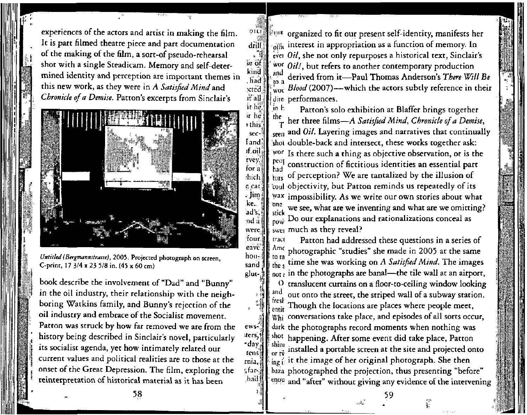experiences of the actors and artist in making the film. It is part filmed theatre piece and part documentation of the making of the film, a sort-of pseudo-rehearsal shot with a single Steadicam. Memory and self-determined identity and perception are important themes in this new work, as they were in A Satisfied Mind and Chronicle of a Demise. Patton's excerpts from Sinclair's

στα

 $d\tilde{r}$ ill

se of

kind

had

:cted

it all

sand

 $glut-$ 

ews:

ters,

•day

tens

rnia,

f.far-

.had

. 3



Untitled (Bergmannstrasse), 2005. Projected photograph on screen, C-print,  $17 \frac{3}{4} \times 23 \frac{5}{8}$  in. (45 x 60 cm)

book describe the involvement of "Dad" and "Bunny" in the oil industry, their relationship with the neighboring Watkins family, and Bunny's rejection of the oil industry and embrace of the Socialist movement. Patton was struck by how far removed we are from the history being described in Sinclair's novel, particularly its socialist agenda, yet how intimately related our current values and political realities are to those at the onset of the Great Depression. The film, exploring the reinterpretation of historical material as it has been

in a organized to fit our present self-identity, manifests her interest in appropriation as a function of memory. In ever *Oil*, she not only repurposes a historical text, Sinclair's wor Oil!, but refers to another contemporary production and derived from it-Paul Thomas Anderson's There Will Be  $\mathbf{a}$ Blood (2007)-which the actors subtly reference in their wor dire performances.

in E Patton's solo exhibition at Blaffer brings together the her three films-A Satisfied Mind, Chronicle of a Demise, and Oil. Layering images and narratives that continually **SPPIT** shot double-back and intersect, these works together ask: wor Is there such a thing as objective observation, or is the peop construction of fictitious identities an essential part had of perception? We are tantalized by the illusion of tors coul objectivity, but Patton reminds us repeatedly of its wax impossibility. As we write our own stories about what one we see, what are we inventing and what are we omitting? stick Do our explanations and rationalizations conceal as nó w swei much as they reveal?

Patton had addressed these questions in a series of tract Ame photographic "studies" she made in 2005 at the same to ta time she was working on A Satisfied Mind. The images the s  $_{\text{not}}$  in the photographs are banal-the tile wall at an airport, translucent curtains on a floor-to-ceiling window looking O and out onto the street, the striped wall of a subway station. Though the locations are places where people meet,  $W<sub>hi</sub>$  conversations take place, and episodes of all sorts occur, dark the photographs record moments when nothing was shot happening. After some event did take place, Patton shimi installed a portable screen at the site and projected onto or rö  $\lim_{\text{ine } t}$  it the image of her original photograph. She then baza photographed the projection, thus presenting "before" enou and "after" without giving any evidence of the intervening